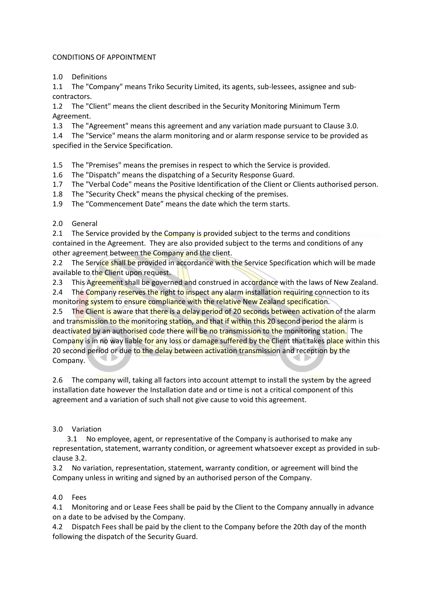### CONDITIONS OF APPOINTMENT

1.0 Definitions

1.1 The "Company" means Triko Security Limited, its agents, sub-lessees, assignee and subcontractors.

1.2 The "Client" means the client described in the Security Monitoring Minimum Term Agreement.

1.3 The "Agreement" means this agreement and any variation made pursuant to Clause 3.0.

1.4 The "Service" means the alarm monitoring and or alarm response service to be provided as specified in the Service Specification.

1.5 The "Premises" means the premises in respect to which the Service is provided.

1.6 The "Dispatch" means the dispatching of a Security Response Guard.

1.7 The "Verbal Code" means the Positive Identification of the Client or Clients authorised person.

1.8 The "Security Check" means the physical checking of the premises.

1.9 The "Commencement Date" means the date which the term starts.

### 2.0 General

2.1 The Service provided by the Company is provided subject to the terms and conditions contained in the Agreement. They are also provided subject to the terms and conditions of any other agreement between the Company and the client.

2.2 The Service shall be provided in accordance with the Service Specification which will be made available to the Client upon request.

2.3 This Agreement shall be governed and construed in accordance with the laws of New Zealand.

2.4 The Company reserves the right to inspect any alarm installation requiring connection to its monitoring system to ensure compliance with the relative New Zealand specification.

2.5 The Client is aware that there is a delay period of 20 seconds between activation of the alarm and transmission to the monitoring station, and that if within this 20 second period the alarm is deactivated by an authorised code there will be no transmission to the monitoring station. The Company is in no way liable for any loss or damage suffered by the Client that takes place within this 20 second period or due to the delay between activation transmission and reception by the Company.

2.6 The company will, taking all factors into account attempt to install the system by the agreed installation date however the Installation date and or time is not a critical component of this agreement and a variation of such shall not give cause to void this agreement.

#### 3.0 Variation

 3.1 No employee, agent, or representative of the Company is authorised to make any representation, statement, warranty condition, or agreement whatsoever except as provided in subclause 3.2.

3.2 No variation, representation, statement, warranty condition, or agreement will bind the Company unless in writing and signed by an authorised person of the Company.

# 4.0 Fees

4.1 Monitoring and or Lease Fees shall be paid by the Client to the Company annually in advance on a date to be advised by the Company.

4.2 Dispatch Fees shall be paid by the client to the Company before the 20th day of the month following the dispatch of the Security Guard.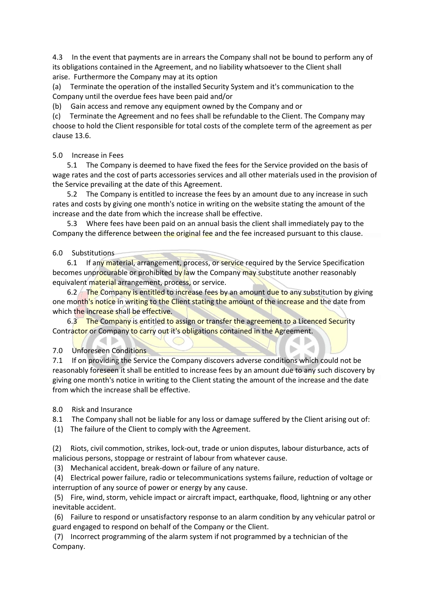4.3 In the event that payments are in arrears the Company shall not be bound to perform any of its obligations contained in the Agreement, and no liability whatsoever to the Client shall arise. Furthermore the Company may at its option

(a) Terminate the operation of the installed Security System and it's communication to the Company until the overdue fees have been paid and/or

(b) Gain access and remove any equipment owned by the Company and or

(c) Terminate the Agreement and no fees shall be refundable to the Client. The Company may choose to hold the Client responsible for total costs of the complete term of the agreement as per clause 13.6.

5.0 Increase in Fees

 5.1 The Company is deemed to have fixed the fees for the Service provided on the basis of wage rates and the cost of parts accessories services and all other materials used in the provision of the Service prevailing at the date of this Agreement.

 5.2 The Company is entitled to increase the fees by an amount due to any increase in such rates and costs by giving one month's notice in writing on the website stating the amount of the increase and the date from which the increase shall be effective.

 5.3 Where fees have been paid on an annual basis the client shall immediately pay to the Company the difference between the original fee and the fee increased pursuant to this clause.

6.0 Substitutions

6.1 If any material, arrangement, process, or service required by the Service Specification becomes unprocurable or prohibited by law the Company may substitute another reasonably equivalent material arrangement, process, or service.

6.2 The Company is entitled to increase fees by an amount due to any substitution by giving one month's notice in writing to the Client stating the amount of the increase and the date from which the increase shall be effective.

6.3 The Company is entitled to assign or transfer the agreement to a Licenced Security Contractor or Company to carry out it's obligations contained in the Agreement.

 $\bigcirc$ 

7.0 Unforeseen Conditions

7.1 If on providing the Service the Company discovers adverse conditions which could not be reasonably foreseen it shall be entitled to increase fees by an amount due to any such discovery by giving one month's notice in writing to the Client stating the amount of the increase and the date from which the increase shall be effective.

8.0 Risk and Insurance

8.1 The Company shall not be liable for any loss or damage suffered by the Client arising out of:

(1) The failure of the Client to comply with the Agreement.

(2) Riots, civil commotion, strikes, lock-out, trade or union disputes, labour disturbance, acts of malicious persons, stoppage or restraint of labour from whatever cause.

(3) Mechanical accident, break-down or failure of any nature.

(4) Electrical power failure, radio or telecommunications systems failure, reduction of voltage or interruption of any source of power or energy by any cause.

(5) Fire, wind, storm, vehicle impact or aircraft impact, earthquake, flood, lightning or any other inevitable accident.

(6) Failure to respond or unsatisfactory response to an alarm condition by any vehicular patrol or guard engaged to respond on behalf of the Company or the Client.

(7) Incorrect programming of the alarm system if not programmed by a technician of the Company.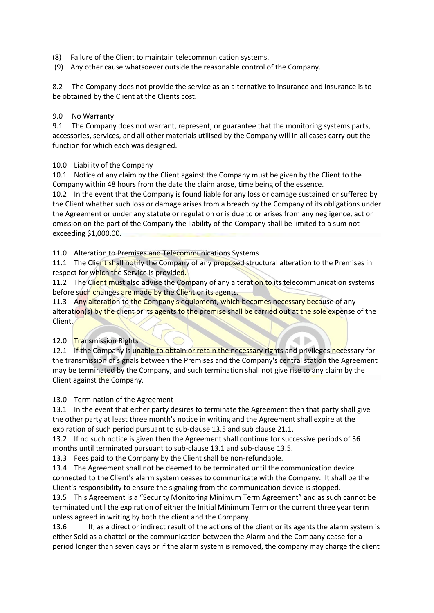- (8) Failure of the Client to maintain telecommunication systems.
- (9) Any other cause whatsoever outside the reasonable control of the Company.

8.2 The Company does not provide the service as an alternative to insurance and insurance is to be obtained by the Client at the Clients cost.

#### 9.0 No Warranty

9.1 The Company does not warrant, represent, or guarantee that the monitoring systems parts, accessories, services, and all other materials utilised by the Company will in all cases carry out the function for which each was designed.

### 10.0 Liability of the Company

10.1 Notice of any claim by the Client against the Company must be given by the Client to the Company within 48 hours from the date the claim arose, time being of the essence.

10.2 In the event that the Company is found liable for any loss or damage sustained or suffered by the Client whether such loss or damage arises from a breach by the Company of its obligations under the Agreement or under any statute or regulation or is due to or arises from any negligence, act or omission on the part of the Company the liability of the Company shall be limited to a sum not exceeding \$1,000.00.

11.0 Alteration to Premises and Telecommunications Systems

11.1 The Client shall notify the Company of any proposed structural alteration to the Premises in respect for which the Service is provided.

11.2 The Client must also advise the Company of any alteration to its telecommunication systems before such changes are made by the Client or its agents.

11.3 Any alteration to the Company's equipment, which becomes necessary because of any alteration(s) by the client or its agents to the premise shall be carried out at the sole expense of the Client.

# 12.0 Transmission Rights

12.1 If the Company is unable to obtain or retain the necessary rights and privileges necessary for the transmission of signals between the Premises and the Company's central station the Agreement may be terminated by the Company, and such termination shall not give rise to any claim by the Client against the Company.

# 13.0 Termination of the Agreement

13.1 In the event that either party desires to terminate the Agreement then that party shall give the other party at least three month's notice in writing and the Agreement shall expire at the expiration of such period pursuant to sub-clause 13.5 and sub clause 21.1.

13.2 If no such notice is given then the Agreement shall continue for successive periods of 36 months until terminated pursuant to sub-clause 13.1 and sub-clause 13.5.

13.3 Fees paid to the Company by the Client shall be non-refundable.

13.4 The Agreement shall not be deemed to be terminated until the communication device connected to the Client's alarm system ceases to communicate with the Company. It shall be the Client's responsibility to ensure the signaling from the communication device is stopped.

13.5 This Agreement is a "Security Monitoring Minimum Term Agreement" and as such cannot be terminated until the expiration of either the Initial Minimum Term or the current three year term unless agreed in writing by both the client and the Company.

13.6 If, as a direct or indirect result of the actions of the client or its agents the alarm system is either Sold as a chattel or the communication between the Alarm and the Company cease for a period longer than seven days or if the alarm system is removed, the company may charge the client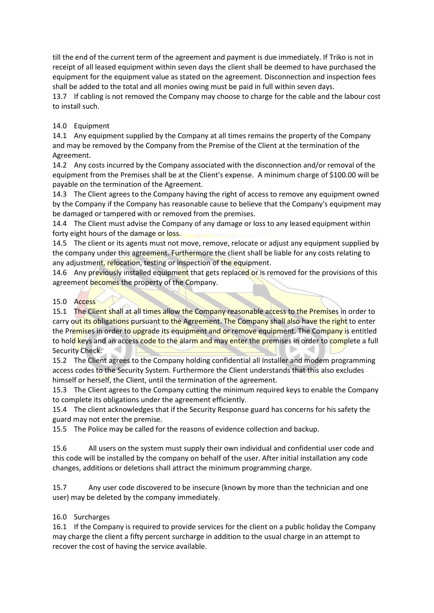till the end of the current term of the agreement and payment is due immediately. If Triko is not in receipt of all leased equipment within seven days the client shall be deemed to have purchased the equipment for the equipment value as stated on the agreement. Disconnection and inspection fees shall be added to the total and all monies owing must be paid in full within seven days.

13.7 If cabling is not removed the Company may choose to charge for the cable and the labour cost to install such.

14.0 Equipment

14.1 Any equipment supplied by the Company at all times remains the property of the Company and may be removed by the Company from the Premise of the Client at the termination of the Agreement.

14.2 Any costs incurred by the Company associated with the disconnection and/or removal of the equipment from the Premises shall be at the Client's expense. A minimum charge of \$100.00 will be payable on the termination of the Agreement.

14.3 The Client agrees to the Company having the right of access to remove any equipment owned by the Company if the Company has reasonable cause to believe that the Company's equipment may be damaged or tampered with or removed from the premises.

14.4 The Client must advise the Company of any damage or loss to any leased equipment within forty eight hours of the damage or loss.

14.5 The client or its agents must not move, remove, relocate or adjust any equipment supplied by the company under this agreement. Furthermore the client shall be liable for any costs relating to any adjustment, relocation, testing or inspection of the equipment.

14.6 Any previously installed equipment that gets replaced or is removed for the provisions of this agreement becomes the property of the Company.

# 15.0 Access

15.1 The Client shall at all times allow the Company reasonable access to the Premises in order to carry out its obligations pursuant to the Agreement. The Company shall also have the right to enter the Premises in order to upgrade its equipment and or remove equipment. The Company is entitled to hold keys and an access code to the alarm and may enter the premises in order to complete a full Security Check.

15.2 The Client agrees to the Company holding confidential all Installer and modem programming access codes to the Security System. Furthermore the Client understands that this also excludes himself or herself, the Client, until the termination of the agreement.

15.3 The Client agrees to the Company cutting the minimum required keys to enable the Company to complete its obligations under the agreement efficiently.

15.4 The client acknowledges that if the Security Response guard has concerns for his safety the guard may not enter the premise.

15.5 The Police may be called for the reasons of evidence collection and backup.

15.6 All users on the system must supply their own individual and confidential user code and this code will be installed by the company on behalf of the user. After initial installation any code changes, additions or deletions shall attract the minimum programming charge.

15.7 Any user code discovered to be insecure (known by more than the technician and one user) may be deleted by the company immediately.

# 16.0 Surcharges

16.1 If the Company is required to provide services for the client on a public holiday the Company may charge the client a fifty percent surcharge in addition to the usual charge in an attempt to recover the cost of having the service available.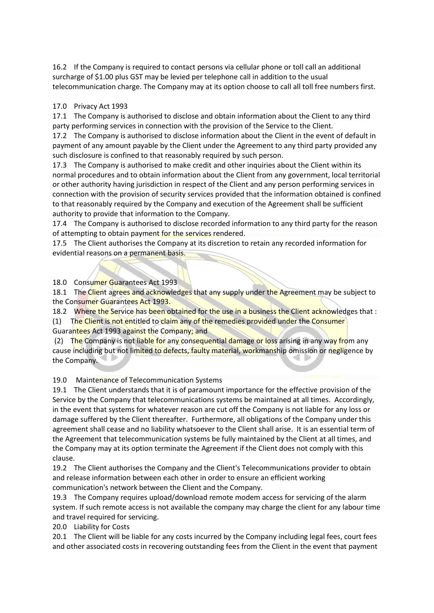16.2 If the Company is required to contact persons via cellular phone or toll call an additional surcharge of \$1.00 plus GST may be levied per telephone call in addition to the usual telecommunication charge. The Company may at its option choose to call all toll free numbers first.

### 17.0 Privacy Act 1993

17.1 The Company is authorised to disclose and obtain information about the Client to any third party performing services in connection with the provision of the Service to the Client.

17.2 The Company is authorised to disclose information about the Client in the event of default in payment of any amount payable by the Client under the Agreement to any third party provided any such disclosure is confined to that reasonably required by such person.

17.3 The Company is authorised to make credit and other inquiries about the Client within its normal procedures and to obtain information about the Client from any government, local territorial or other authority having jurisdiction in respect of the Client and any person performing services in connection with the provision of security services provided that the information obtained is confined to that reasonably required by the Company and execution of the Agreement shall be sufficient authority to provide that information to the Company.

17.4 The Company is authorised to disclose recorded information to any third party for the reason of attempting to obtain payment for the services rendered.

17.5 The Client authorises the Company at its discretion to retain any recorded information for evidential reasons on a permanent basis.

18.0 Consumer Guarantees Act 1993

18.1 The Client agrees and acknowledges that any supply under the Agreement may be subject to the Consumer Guarantees Act 1993.

18.2 Where the Service has been obtained for the use in a business the Client acknowledges that :

(1) The Client is not entitled to claim any of the remedies provided under the Consumer Guarantees Act 1993 against the Company; and

(2) The Company is not liable for any consequential damage or loss arising in any way from any cause including but not limited to defects, faulty material, workmanship omission or negligence by the Company.

19.0 Maintenance of Telecommunication Systems

19.1 The Client understands that it is of paramount importance for the effective provision of the Service by the Company that telecommunications systems be maintained at all times. Accordingly, in the event that systems for whatever reason are cut off the Company is not liable for any loss or damage suffered by the Client thereafter. Furthermore, all obligations of the Company under this agreement shall cease and no liability whatsoever to the Client shall arise. It is an essential term of the Agreement that telecommunication systems be fully maintained by the Client at all times, and the Company may at its option terminate the Agreement if the Client does not comply with this clause.

19.2 The Client authorises the Company and the Client's Telecommunications provider to obtain and release information between each other in order to ensure an efficient working communication's network between the Client and the Company.

19.3 The Company requires upload/download remote modem access for servicing of the alarm system. If such remote access is not available the company may charge the client for any labour time and travel required for servicing.

20.0 Liability for Costs

20.1 The Client will be liable for any costs incurred by the Company including legal fees, court fees and other associated costs in recovering outstanding fees from the Client in the event that payment